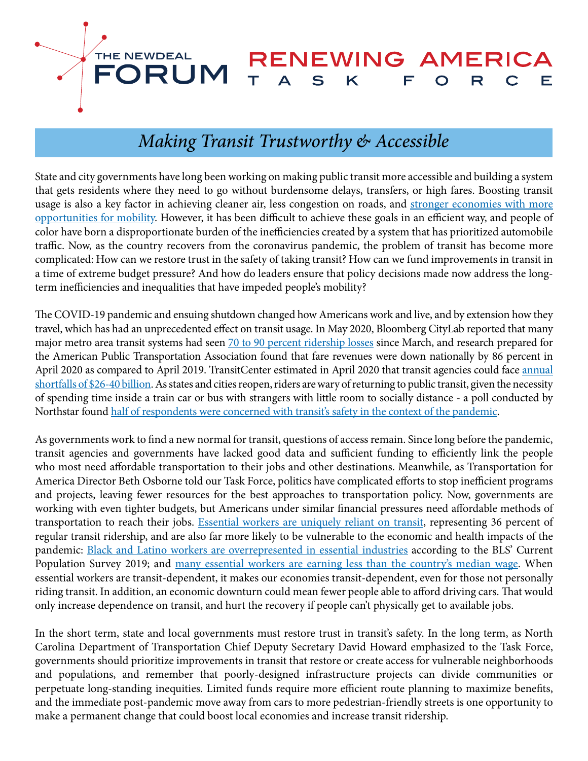

# *Making Transit Trustworthy & Accessible*

State and city governments have long been working on making public transit more accessible and building a system that gets residents where they need to go without burdensome delays, transfers, or high fares. Boosting transit usage is also a key factor in achieving cleaner air, less congestion on roads, and [stronger economies with more](https://www.nytimes.com/2015/05/07/upshot/transportation-emerges-as-crucial-to-escaping-poverty.html) [opportuniti](https://www.nytimes.com/2015/05/07/upshot/transportation-emerges-as-crucial-to-escaping-poverty.html)es for mobility. However, it has been difficult to achieve these goals in an efficient way, and people of color have born a disproportionate burden of the inefficiencies created by a system that has prioritized automobile traffic. Now, as the country recovers from the coronavirus pandemic, the problem of transit has become more complicated: How can we restore trust in the safety of taking transit? How can we fund improvements in transit in a time of extreme budget pressure? And how do leaders ensure that policy decisions made now address the longterm inefficiencies and inequalities that have impeded people's mobility?

The COVID-19 pandemic and ensuing shutdown changed how Americans work and live, and by extension how they travel, which has had an unprecedented effect on transit usage. In May 2020, Bloomberg CityLab reported that many major metro area transit systems had seen [70 to 90 percent ridership losses](https://www.bloomberg.com/news/articles/2020-05-06/a-post-pandemic-reality-check-for-transit-boosters) since March, and research prepared for the American Public Transportation Association found that [fare revenues were down nationally by 86 percent](https://www.apta.com/wp-content/uploads/APTA-COVID-19-Funding-Impact-2020-05-05.pdf) in April 2020 as compared to April 2019. TransitCenter estimated in April 2020 that transit agencies could face [annual](https://transitcenter.org/estimated-financial-impact-of-covid-19-on-u-s-transit-agencies-26-38-billion-annually/) [shortfalls of \\$26-40 billion](https://transitcenter.org/estimated-financial-impact-of-covid-19-on-u-s-transit-agencies-26-38-billion-annually/). As states and cities reopen, riders are wary of returning to public transit, given the necessity of spending time inside a train car or bus with strangers with little room to socially distance - a poll conducted by Northstar found [half of respondents were concerned with transit's safety in the context of the pandemic.](https://www.itsinternational.com/its8/news/half-us-fears-covid-19-public-transit)

As governments work to find a new normal for transit, questions of access remain. Since long before the pandemic, transit agencies and governments have lacked good data and sufficient funding to efficiently link the people who most need affordable transportation to their jobs and other destinations. Meanwhile, as Transportation for America Director Beth Osborne told our Task Force, politics have complicated efforts to stop inefficient programs and projects, leaving fewer resources for the best approaches to transportation policy. Now, governments are working with even tighter budgets, but Americans under similar financial pressures need affordable methods of transportation to reach their jobs. [Essential workers are uniquely reliant on trans](https://transitcenter.org/2-8-million-u-s-essential-workers-ride-transit-to-their-jobs/#:~:text=Workers%20classified%20as%20essential%20during,spacing%20on%20buses%20and%20trains)it, representing 36 percent of regular transit ridership, and are also far more likely to be vulnerable to the economic and health impacts of the pandemic: [Black and Latino workers are overrepresented in essential industries](https://www.urban.org/urban-wire/how-covid-19-affecting-black-and-latino-families-) according to the BLS' Current Population Survey 2019; and [many essential workers are earning less than the country's median wage.](https://www.brookings.edu/research/how-to-protect-essential-workers-during-covid-19/) When essential workers are transit-dependent, it makes our economies transit-dependent, even for those not personally riding transit. In addition, an economic downturn could mean fewer people able to afford driving cars. That would only increase dependence on transit, and hurt the recovery if people can't physically get to available jobs.

In the short term, state and local governments must restore trust in transit's safety. In the long term, as North Carolina Department of Transportation Chief Deputy Secretary David Howard emphasized to the Task Force, governments should prioritize improvements in transit that restore or create access for vulnerable neighborhoods and populations, and remember that poorly-designed infrastructure projects can divide communities or perpetuate long-standing inequities. Limited funds require more efficient route planning to maximize benefits, and the immediate post-pandemic move away from cars to more pedestrian-friendly streets is one opportunity to make a permanent change that could boost local economies and increase transit ridership.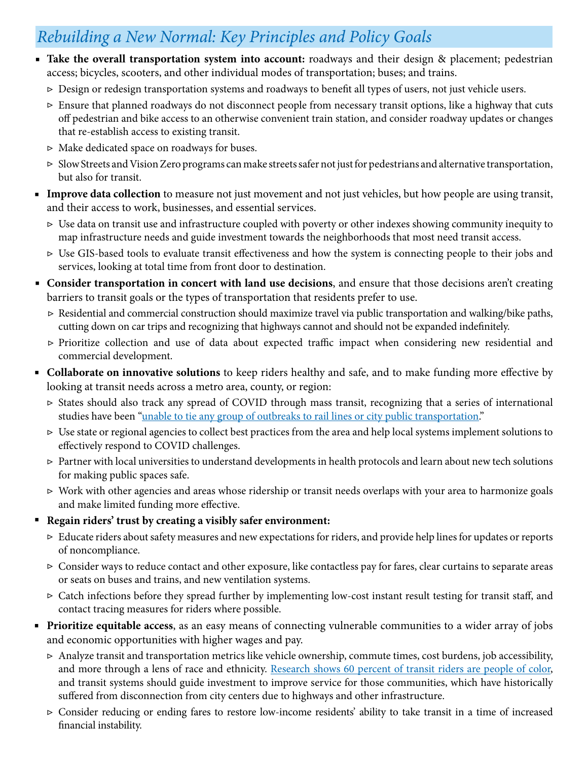# *Rebuilding a New Normal: Key Principles and Policy Goals*

- **Take the overall transportation system into account:** roadways and their design & placement; pedestrian access; bicycles, scooters, and other individual modes of transportation; buses; and trains.
	- Design or redesign transportation systems and roadways to benefit all types of users, not just vehicle users. ▷
	- Ensure that planned roadways do not disconnect people from necessary transit options, like a highway that cuts ▷ off pedestrian and bike access to an otherwise convenient train station, and consider roadway updates or changes that re-establish access to existing transit.
	- Make dedicated space on roadways for buses. ▷
	- Slow Streets and Vision Zero programs can make streets safer not just for pedestrians and alternative transportation, ▷ but also for transit.
- **Improve data collection** to measure not just movement and not just vehicles, but how people are using transit, and their access to work, businesses, and essential services.
	- $\triangleright$  Use data on transit use and infrastructure coupled with poverty or other indexes showing community inequity to map infrastructure needs and guide investment towards the neighborhoods that most need transit access.
	- Use GIS-based tools to evaluate transit effectiveness and how the system is connecting people to their jobs and ▷ services, looking at total time from front door to destination.
- Consider transportation in concert with land use decisions, and ensure that those decisions aren't creating barriers to transit goals or the types of transportation that residents prefer to use.
	- Residential and commercial construction should maximize travel via public transportation and walking/bike paths, ▷ cutting down on car trips and recognizing that highways cannot and should not be expanded indefinitely.
	- Prioritize collection and use of data about expected traffic impact when considering new residential and ▷commercial development.
- **Collaborate on innovative solutions** to keep riders healthy and safe, and to make funding more effective by looking at transit needs across a metro area, county, or region:
	- States should also track any spread of COVID through mass transit, recognizing that a series of international ▷ studies have been ["unable to tie any group of outbreaks to rail lines or city public transportation.](https://www.npr.org/sections/goatsandsoda/2020/08/28/907106441/coronavirus-faq-is-it-safe-to-get-on-the-bus-or-subway)"
	- $\triangleright$  Use state or regional agencies to collect best practices from the area and help local systems implement solutions to effectively respond to COVID challenges.
	- Partner with local universities to understand developments in health protocols and learn about new tech solutions ▷ for making public spaces safe.
	- Work with other agencies and areas whose ridership or transit needs overlaps with your area to harmonize goals ▷ and make limited funding more effective.
- Regain riders' trust by creating a visibly safer environment:
	- Educate riders about safety measures and new expectations for riders, and provide help lines for updates or reports ▷ of noncompliance.
	- Consider ways to reduce contact and other exposure, like contactless pay for fares, clear curtains to separate areas ▷ or seats on buses and trains, and new ventilation systems.
	- Catch infections before they spread further by implementing low-cost instant result testing for transit staff, and ▷ contact tracing measures for riders where possible.
- **Prioritize equitable access**, as an easy means of connecting vulnerable communities to a wider array of jobs and economic opportunities with higher wages and pay.
	- $\triangleright$  Analyze transit and transportation metrics like vehicle ownership, commute times, cost burdens, job accessibility, and more through a lens of race and ethnicity. [Research shows 60 percent of transit riders are people of color](https://www.apta.com/research-technical-resources/research-reports/who-rides-public-transportation/), and transit systems should guide investment to improve service for those communities, which have historically suffered from disconnection from city centers due to highways and other infrastructure.
	- Consider reducing or ending fares to restore low-income residents' ability to take transit in a time of increased ▷ financial instability.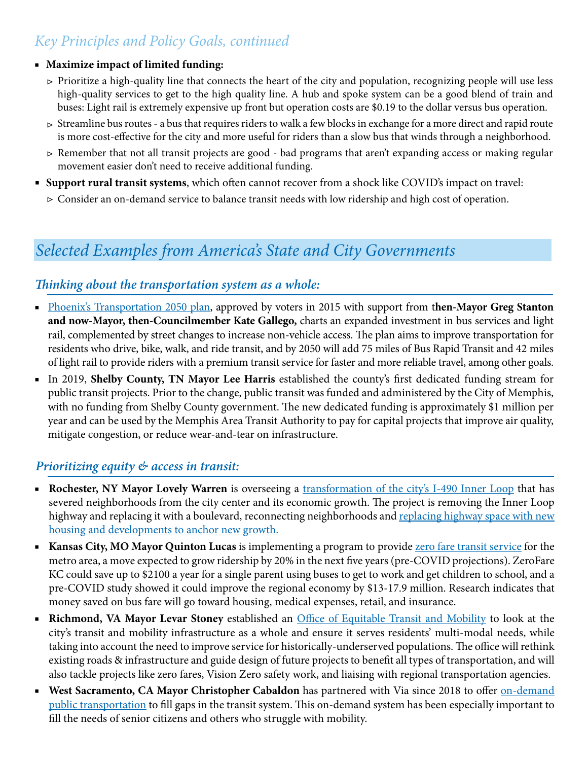## *Key Principles and Policy Goals, continued*

#### **Maximize impact of limited funding:** ■

- $\triangleright$  Prioritize a high-quality line that connects the heart of the city and population, recognizing people will use less high-quality services to get to the high quality line. A hub and spoke system can be a good blend of train and buses: Light rail is extremely expensive up front but operation costs are \$0.19 to the dollar versus bus operation.
- $\triangleright$  Streamline bus routes a bus that requires riders to walk a few blocks in exchange for a more direct and rapid route is more cost-effective for the city and more useful for riders than a slow bus that winds through a neighborhood.
- Remember that not all transit projects are good bad programs that aren't expanding access or making regular ▷ movement easier don't need to receive additional funding.
- **Support rural transit systems**, which often cannot recover from a shock like COVID's impact on travel:
	- Consider an on-demand service to balance transit needs with low ridership and high cost of operation. ▷

# *Selected Examples from America's State and City Governments*

### *Thinking about the transportation system as a whole:*

- [Phoenix's Transportation 2050 plan,](https://www.phoenix.gov/T2050/Overview) approved by voters in 2015 with support from then-Mayor Greg Stanton **and now-Mayor, then-Councilmember Kate Gallego,** charts an expanded investment in bus services and light rail, complemented by street changes to increase non-vehicle access. The plan aims to improve transportation for residents who drive, bike, walk, and ride transit, and by 2050 will add 75 miles of Bus Rapid Transit and 42 miles of light rail to provide riders with a premium transit service for faster and more reliable travel, among other goals.
- In 2019, **Shelby County, TN Mayor Lee Harris** established the county's first dedicated funding stream for public transit projects. Prior to the change, public transit was funded and administered by the City of Memphis, with no funding from Shelby County government. The new dedicated funding is approximately \$1 million per year and can be used by the Memphis Area Transit Authority to pay for capital projects that improve air quality, mitigate congestion, or reduce wear-and-tear on infrastructure.

### *Prioritizing equity & access in transit:*

- **Rochester, NY Mayor Lovely Warren** is overseeing a [transformation of the city's I-490 Inner Loop](https://www.cnu.org/highways-boulevards/model-cities/Rochester) that has severed neighborhoods from the city center and its economic growth. The project is removing the Inner Loop highway and replacing it with a boulevard, reconnecting neighborhoods and replacing highway space with new [housing and developments to anchor new growth.](https://usa.streetsblog.org/2018/03/01/a-new-neighborhood-will-replace-a-sunken-rochester-highway/)
- Kansas City, MO Mayor Quinton Lucas is implementing a program to provide **zero fare transit service** for the metro area, a move expected to grow ridership by 20% in the next five years (pre-COVID projections). ZeroFare KC could save up to \$2100 a year for a single parent using buses to get to work and get children to school, and a pre-COVID study showed it could improve the regional economy by \$13-17.9 million. Research indicates that money saved on bus fare will go toward housing, medical expenses, retail, and insurance.
- **Richmond, VA Mayor Levar Stoney** established an [Office of Equitable Transit and Mobility](http://richmondvaannouncements.blogspot.com/2020/09/mayor-stoney-founds-office-of-equitable.html) to look at the city's transit and mobility infrastructure as a whole and ensure it serves residents' multi-modal needs, while taking into account the need to improve service for historically-underserved populations. The office will rethink existing roads & infrastructure and guide design of future projects to benefit all types of transportation, and will also tackle projects like zero fares, Vision Zero safety work, and liaising with regional transportation agencies. ■
- **West Sacramento, CA Mayor Christopher Cabaldon** has partnered with Via since 2018 to offer **on-demand** [public transportation](https://www.cityofwestsacramento.org/government/departments/capital-projects-and-transportation/on-demand-rideshare-via) to fill gaps in the transit system. This on-demand system has been especially important to fill the needs of senior citizens and others who struggle with mobility.